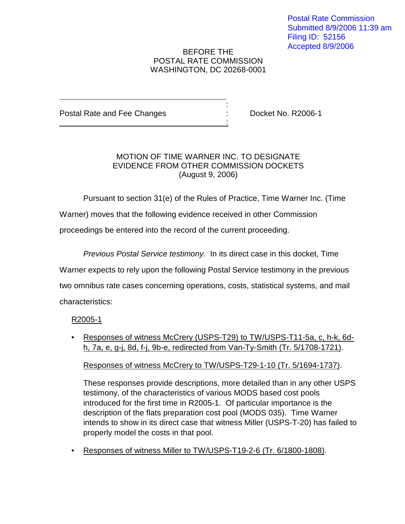#### BEFORE THE POSTAL RATE COMMISSION WASHINGTON, DC 20268-0001

:

:

Postal Rate and Fee Changes : Docket No. R2006-1

### MOTION OF TIME WARNER INC. TO DESIGNATE EVIDENCE FROM OTHER COMMISSION DOCKETS (August 9, 2006)

Pursuant to section 31(e) of the Rules of Practice, Time Warner Inc. (Time Warner) moves that the following evidence received in other Commission proceedings be entered into the record of the current proceeding.

Previous Postal Service testimony. In its direct case in this docket, Time Warner expects to rely upon the following Postal Service testimony in the previous two omnibus rate cases concerning operations, costs, statistical systems, and mail characteristics:

# R2005-1

• Responses of witness McCrery (USPS-T29) to TW/USPS-T11-5a, c, h-k, 6dh, 7a, e, g-j, 8d, f-j, 9b-e, redirected from Van-Ty-Smith (Tr. 5/1708-1721).

Responses of witness McCrery to TW/USPS-T29-1-10 (Tr. 5/1694-1737).

These responses provide descriptions, more detailed than in any other USPS testimony, of the characteristics of various MODS based cost pools introduced for the first time in R2005-1. Of particular importance is the description of the flats preparation cost pool (MODS 035). Time Warner intends to show in its direct case that witness Miller (USPS-T-20) has failed to properly model the costs in that pool.

• Responses of witness Miller to TW/USPS-T19-2-6 (Tr. 6/1800-1808).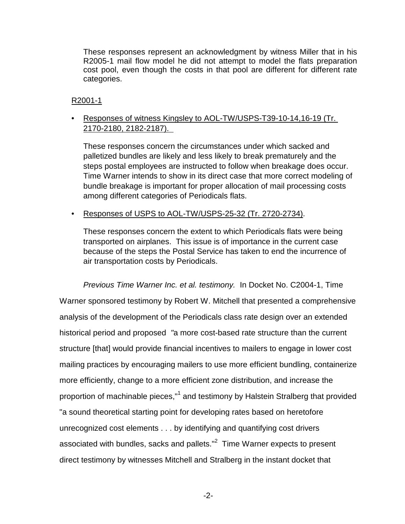These responses represent an acknowledgment by witness Miller that in his R2005-1 mail flow model he did not attempt to model the flats preparation cost pool, even though the costs in that pool are different for different rate categories.

### R2001-1

• Responses of witness Kingsley to AOL-TW/USPS-T39-10-14,16-19 (Tr. 2170-2180, 2182-2187).

These responses concern the circumstances under which sacked and palletized bundles are likely and less likely to break prematurely and the steps postal employees are instructed to follow when breakage does occur. Time Warner intends to show in its direct case that more correct modeling of bundle breakage is important for proper allocation of mail processing costs among different categories of Periodicals flats.

# • Responses of USPS to AOL-TW/USPS-25-32 (Tr. 2720-2734).

These responses concern the extent to which Periodicals flats were being transported on airplanes. This issue is of importance in the current case because of the steps the Postal Service has taken to end the incurrence of air transportation costs by Periodicals.

Previous Time Warner Inc. et al. testimony. In Docket No. C2004-1, Time Warner sponsored testimony by Robert W. Mitchell that presented a comprehensive analysis of the development of the Periodicals class rate design over an extended historical period and proposed "a more cost-based rate structure than the current structure [that] would provide financial incentives to mailers to engage in lower cost mailing practices by encouraging mailers to use more efficient bundling, containerize more efficiently, change to a more efficient zone distribution, and increase the proportion of machinable pieces,"<sup>1</sup> and testimony by Halstein Stralberg that provided "a sound theoretical starting point for developing rates based on heretofore unrecognized cost elements . . . by identifying and quantifying cost drivers associated with bundles, sacks and pallets." $^{2}$  Time Warner expects to present direct testimony by witnesses Mitchell and Stralberg in the instant docket that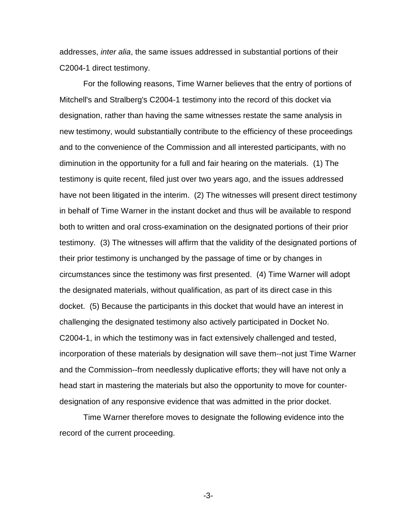addresses, *inter alia*, the same issues addressed in substantial portions of their C2004-1 direct testimony.

For the following reasons, Time Warner believes that the entry of portions of Mitchell's and Stralberg's C2004-1 testimony into the record of this docket via designation, rather than having the same witnesses restate the same analysis in new testimony, would substantially contribute to the efficiency of these proceedings and to the convenience of the Commission and all interested participants, with no diminution in the opportunity for a full and fair hearing on the materials. (1) The testimony is quite recent, filed just over two years ago, and the issues addressed have not been litigated in the interim. (2) The witnesses will present direct testimony in behalf of Time Warner in the instant docket and thus will be available to respond both to written and oral cross-examination on the designated portions of their prior testimony. (3) The witnesses will affirm that the validity of the designated portions of their prior testimony is unchanged by the passage of time or by changes in circumstances since the testimony was first presented. (4) Time Warner will adopt the designated materials, without qualification, as part of its direct case in this docket. (5) Because the participants in this docket that would have an interest in challenging the designated testimony also actively participated in Docket No. C2004-1, in which the testimony was in fact extensively challenged and tested, incorporation of these materials by designation will save them--not just Time Warner and the Commission--from needlessly duplicative efforts; they will have not only a head start in mastering the materials but also the opportunity to move for counterdesignation of any responsive evidence that was admitted in the prior docket.

Time Warner therefore moves to designate the following evidence into the record of the current proceeding.

-3-